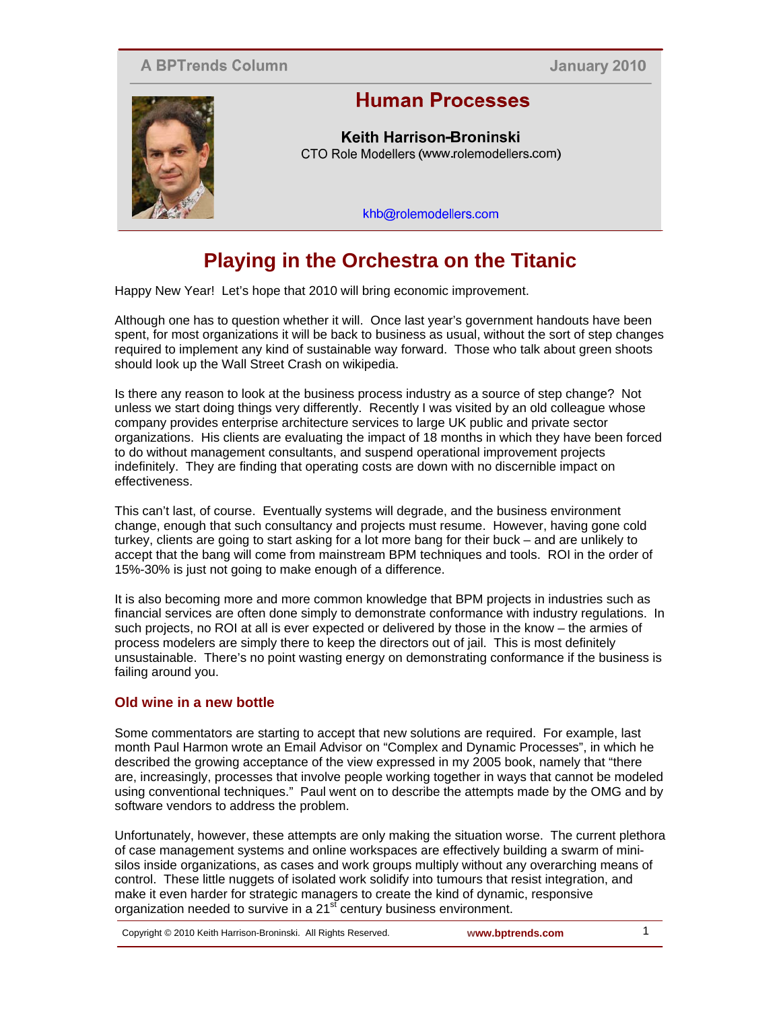## **A BPTrends Column**

January 2010



# **Human Processes**

Keith Harrison-Broninski CTO Role Modellers (www.rolemodellers.com)

khb@rolemodellers.com

# **Playing in the Orchestra on the Titanic**

Happy New Year! Let's hope that 2010 will bring economic improvement.

Although one has to question whether it will. Once last year's government handouts have been spent, for most organizations it will be back to business as usual, without the sort of step changes required to implement any kind of sustainable way forward. Those who talk about green shoots should look up the Wall Street Crash on wikipedia.

Is there any reason to look at the business process industry as a source of step change? Not unless we start doing things very differently. Recently I was visited by an old colleague whose company provides enterprise architecture services to large UK public and private sector organizations. His clients are evaluating the impact of 18 months in which they have been forced to do without management consultants, and suspend operational improvement projects indefinitely. They are finding that operating costs are down with no discernible impact on effectiveness.

This can't last, of course. Eventually systems will degrade, and the business environment change, enough that such consultancy and projects must resume. However, having gone cold turkey, clients are going to start asking for a lot more bang for their buck – and are unlikely to accept that the bang will come from mainstream BPM techniques and tools. ROI in the order of 15%-30% is just not going to make enough of a difference.

It is also becoming more and more common knowledge that BPM projects in industries such as financial services are often done simply to demonstrate conformance with industry regulations. In such projects, no ROI at all is ever expected or delivered by those in the know – the armies of process modelers are simply there to keep the directors out of jail. This is most definitely unsustainable. There's no point wasting energy on demonstrating conformance if the business is failing around you.

### **Old wine in a new bottle**

Some commentators are starting to accept that new solutions are required. For example, last month Paul Harmon wrote an Email Advisor on "Complex and Dynamic Processes", in which he described the growing acceptance of the view expressed in my 2005 book, namely that "there are, increasingly, processes that involve people working together in ways that cannot be modeled using conventional techniques." Paul went on to describe the attempts made by the OMG and by software vendors to address the problem.

Unfortunately, however, these attempts are only making the situation worse. The current plethora of case management systems and online workspaces are effectively building a swarm of minisilos inside organizations, as cases and work groups multiply without any overarching means of control. These little nuggets of isolated work solidify into tumours that resist integration, and make it even harder for strategic managers to create the kind of dynamic, responsive organization needed to survive in a 21<sup>st</sup> century business environment.

Copyright © 2010 Keith Harrison-Broninski. All Rights Reserved. **www.bptrends.com** 1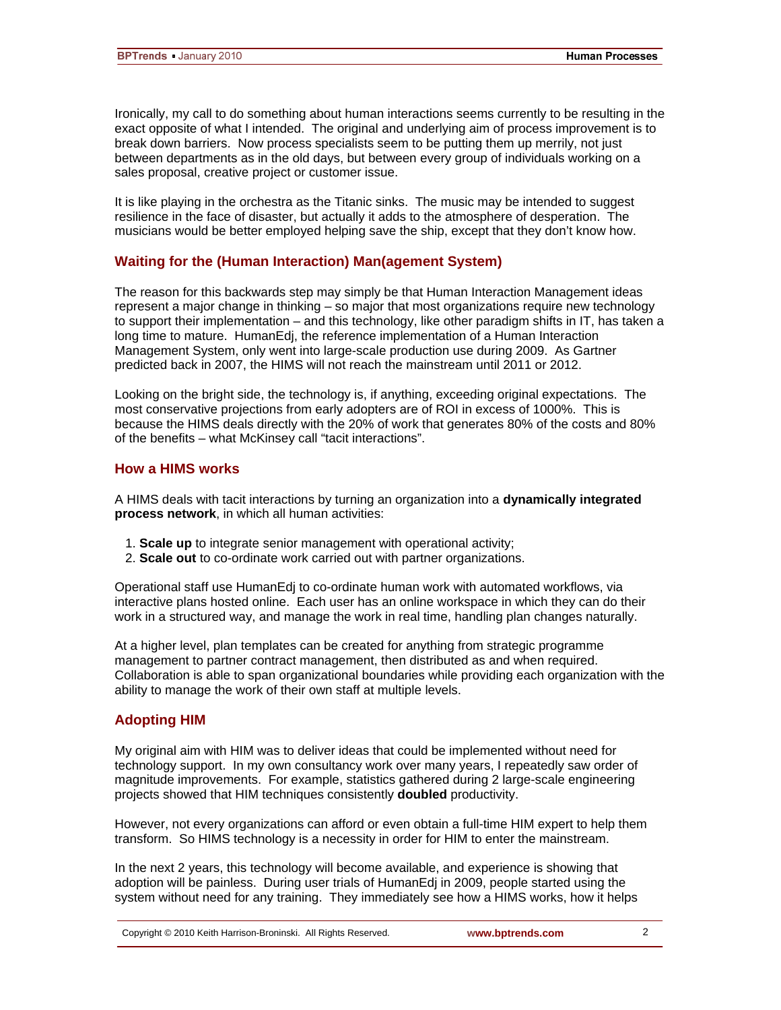Ironically, my call to do something about human interactions seems currently to be resulting in the exact opposite of what I intended. The original and underlying aim of process improvement is to break down barriers. Now process specialists seem to be putting them up merrily, not just between departments as in the old days, but between every group of individuals working on a sales proposal, creative project or customer issue.

It is like playing in the orchestra as the Titanic sinks. The music may be intended to suggest resilience in the face of disaster, but actually it adds to the atmosphere of desperation. The musicians would be better employed helping save the ship, except that they don't know how.

#### **Waiting for the (Human Interaction) Man(agement System)**

The reason for this backwards step may simply be that Human Interaction Management ideas represent a major change in thinking – so major that most organizations require new technology to support their implementation – and this technology, like other paradigm shifts in IT, has taken a long time to mature. HumanEdj, the reference implementation of a Human Interaction Management System, only went into large-scale production use during 2009. As Gartner predicted back in 2007, the HIMS will not reach the mainstream until 2011 or 2012.

Looking on the bright side, the technology is, if anything, exceeding original expectations. The most conservative projections from early adopters are of ROI in excess of 1000%. This is because the HIMS deals directly with the 20% of work that generates 80% of the costs and 80% of the benefits – what McKinsey call "tacit interactions".

#### **How a HIMS works**

A HIMS deals with tacit interactions by turning an organization into a **dynamically integrated process network**, in which all human activities:

- 1. **Scale up** to integrate senior management with operational activity;
- 2. **Scale out** to co-ordinate work carried out with partner organizations.

Operational staff use HumanEdj to co-ordinate human work with automated workflows, via interactive plans hosted online. Each user has an online workspace in which they can do their work in a structured way, and manage the work in real time, handling plan changes naturally.

At a higher level, plan templates can be created for anything from strategic programme management to partner contract management, then distributed as and when required. Collaboration is able to span organizational boundaries while providing each organization with the ability to manage the work of their own staff at multiple levels.

#### **Adopting HIM**

My original aim with HIM was to deliver ideas that could be implemented without need for technology support. In my own consultancy work over many years, I repeatedly saw order of magnitude improvements. For example, statistics gathered during 2 large-scale engineering projects showed that HIM techniques consistently **doubled** productivity.

However, not every organizations can afford or even obtain a full-time HIM expert to help them transform. So HIMS technology is a necessity in order for HIM to enter the mainstream.

In the next 2 years, this technology will become available, and experience is showing that adoption will be painless. During user trials of HumanEdj in 2009, people started using the system without need for any training. They immediately see how a HIMS works, how it helps